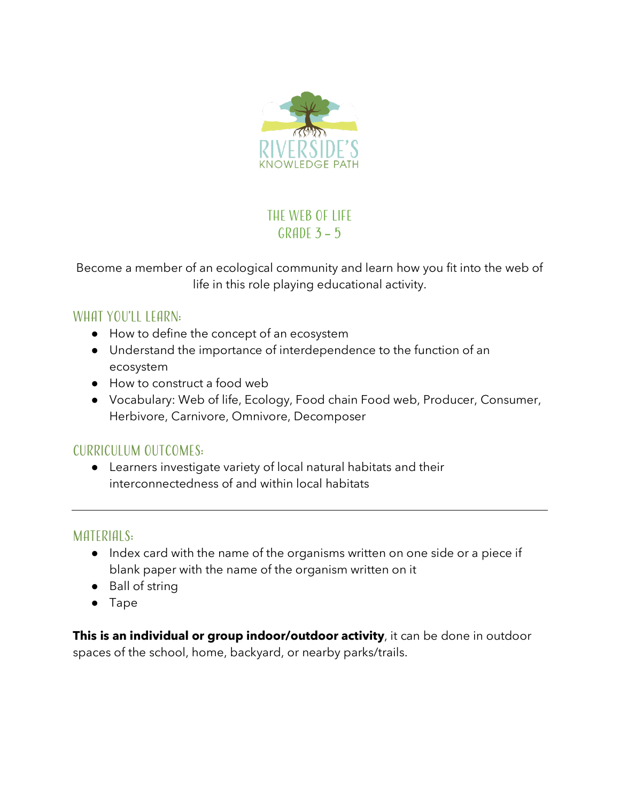

# THE WEB OF LIFE GRADE  $3 - 5$

Become a member of an ecological community and learn how you fit into the web of life in this role playing educational activity.

## WHAT YOU'LL LEARN:

- How to define the concept of an ecosystem
- Understand the importance of interdependence to the function of an ecosystem
- How to construct a food web
- Vocabulary: Web of life, Ecology, Food chain Food web, Producer, Consumer, Herbivore, Carnivore, Omnivore, Decomposer

### Curriculum outcomes:

● Learners investigate variety of local natural habitats and their interconnectedness of and within local habitats

### MATERIALS:

- Index card with the name of the organisms written on one side or a piece if blank paper with the name of the organism written on it
- Ball of string
- Tape

**This is an individual or group indoor/outdoor activity**, it can be done in outdoor spaces of the school, home, backyard, or nearby parks/trails.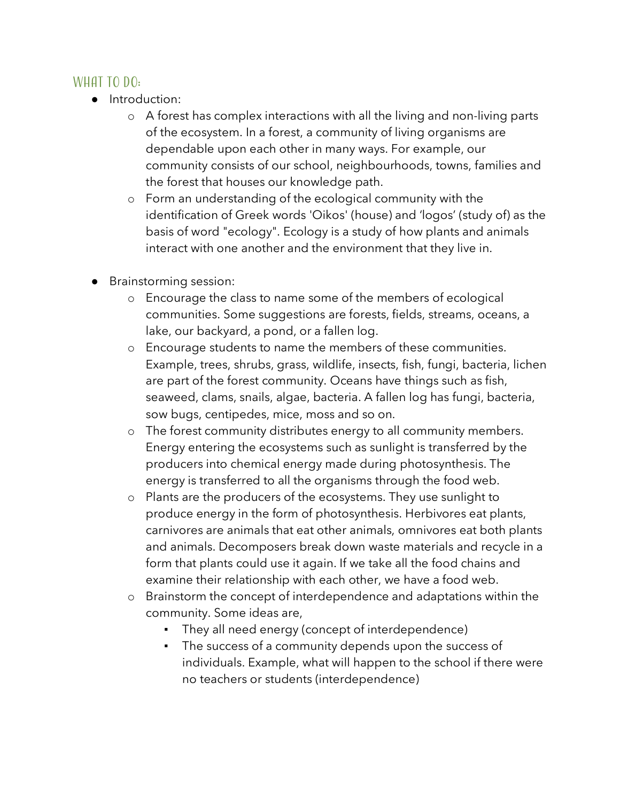#### WHAT TO  $DO:$

- Introduction:
	- o A forest has complex interactions with all the living and non-living parts of the ecosystem. In a forest, a community of living organisms are dependable upon each other in many ways. For example, our community consists of our school, neighbourhoods, towns, families and the forest that houses our knowledge path.
	- o Form an understanding of the ecological community with the identification of Greek words 'Oikos' (house) and 'logos' (study of) as the basis of word "ecology". Ecology is a study of how plants and animals interact with one another and the environment that they live in.
- Brainstorming session:
	- o Encourage the class to name some of the members of ecological communities. Some suggestions are forests, fields, streams, oceans, a lake, our backyard, a pond, or a fallen log.
	- o Encourage students to name the members of these communities. Example, trees, shrubs, grass, wildlife, insects, fish, fungi, bacteria, lichen are part of the forest community. Oceans have things such as fish, seaweed, clams, snails, algae, bacteria. A fallen log has fungi, bacteria, sow bugs, centipedes, mice, moss and so on.
	- o The forest community distributes energy to all community members. Energy entering the ecosystems such as sunlight is transferred by the producers into chemical energy made during photosynthesis. The energy is transferred to all the organisms through the food web.
	- o Plants are the producers of the ecosystems. They use sunlight to produce energy in the form of photosynthesis. Herbivores eat plants, carnivores are animals that eat other animals, omnivores eat both plants and animals. Decomposers break down waste materials and recycle in a form that plants could use it again. If we take all the food chains and examine their relationship with each other, we have a food web.
	- o Brainstorm the concept of interdependence and adaptations within the community. Some ideas are,
		- They all need energy (concept of interdependence)
		- The success of a community depends upon the success of individuals. Example, what will happen to the school if there were no teachers or students (interdependence)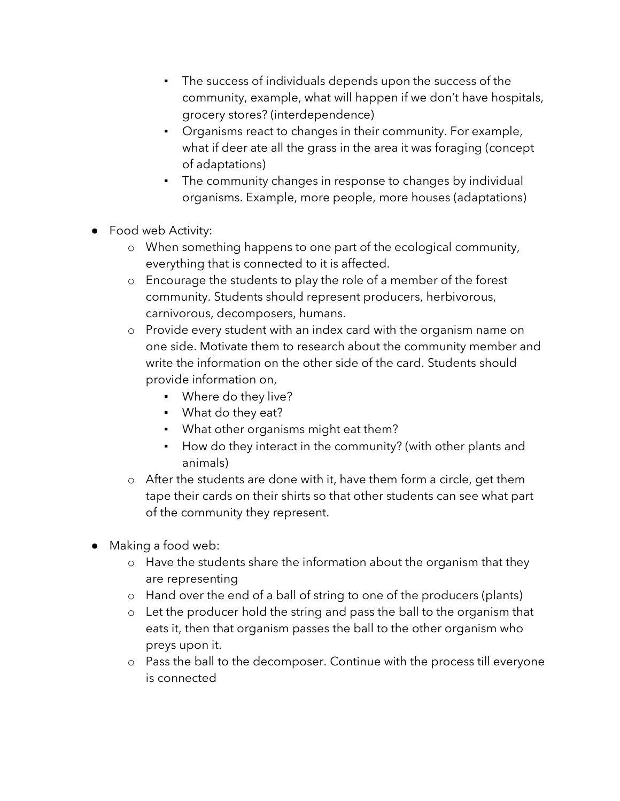- The success of individuals depends upon the success of the community, example, what will happen if we don't have hospitals, grocery stores? (interdependence)
- Organisms react to changes in their community. For example, what if deer ate all the grass in the area it was foraging (concept of adaptations)
- The community changes in response to changes by individual organisms. Example, more people, more houses (adaptations)
- Food web Activity:
	- o When something happens to one part of the ecological community, everything that is connected to it is affected.
	- o Encourage the students to play the role of a member of the forest community. Students should represent producers, herbivorous, carnivorous, decomposers, humans.
	- o Provide every student with an index card with the organism name on one side. Motivate them to research about the community member and write the information on the other side of the card. Students should provide information on,
		- Where do they live?
		- What do they eat?
		- What other organisms might eat them?
		- How do they interact in the community? (with other plants and animals)
	- o After the students are done with it, have them form a circle, get them tape their cards on their shirts so that other students can see what part of the community they represent.
- Making a food web:
	- o Have the students share the information about the organism that they are representing
	- o Hand over the end of a ball of string to one of the producers (plants)
	- o Let the producer hold the string and pass the ball to the organism that eats it, then that organism passes the ball to the other organism who preys upon it.
	- o Pass the ball to the decomposer. Continue with the process till everyone is connected